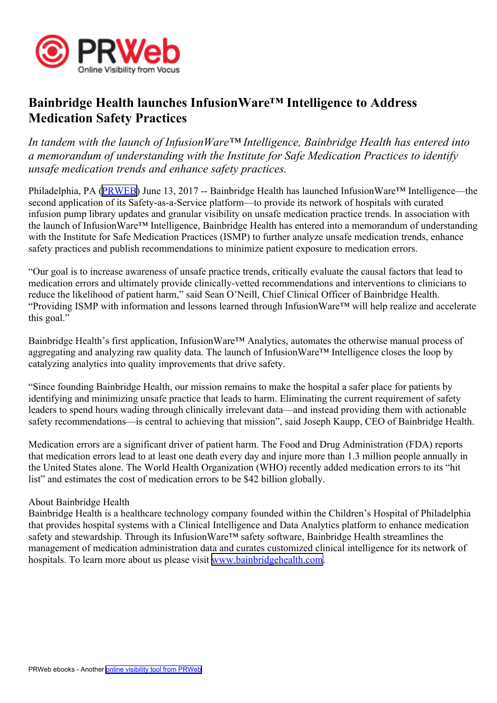

## **Bainbridge Health launches InfusionWare™ Intelligence to Address Medication Safety Practices**

*In tandem with the launch of InfusionWare™ Intelligence, Bainbridge Health has entered into <sup>a</sup> memorandum of understanding with the Institute for Safe Medication Practices to identify unsafe medication trends and enhance safety practices.*

Philadelphia, PA [\(PRWEB\)](http://www.prweb.com) June 13, 2017 -- Bainbridge Health has launched InfusionWare™ Intelligence—the second application of its Safety-as-a-Service platform—to provide its network of hospitals with curated infusion pump library updates and granular visibility on unsafe medication practice trends. In association with the launch of InfusionWare™ Intelligence, Bainbridge Health has entered into <sup>a</sup> memorandum of understanding with the Institute for Safe Medication Practices (ISMP) to further analyze unsafe medication trends, enhance safety practices and publish recommendations to minimize patient exposure to medication errors.

"Our goal is to increase awareness of unsafe practice trends, critically evaluate the causal factors that lead to medication errors and ultimately provide clinically-vetted recommendations and interventions to clinicians to reduce the likelihood of patient harm," said Sean O'Neill, Chief Clinical Officer of Bainbridge Health. "Providing ISMP with information and lessons learned through InfusionWare™ will help realize and accelerate this goal."

Bainbridge Health's first application, InfusionWare™ Analytics, automates the otherwise manual process of aggregating and analyzing raw quality data. The launch of InfusionWare™ Intelligence closes the loop by catalyzing analytics into quality improvements that drive safety.

"Since founding Bainbridge Health, our mission remains to make the hospital <sup>a</sup> safer place for patients by identifying and minimizing unsafe practice that leads to harm. Eliminating the current requirement of safety leaders to spend hours wading through clinically irrelevant data—and instead providing them with actionable safety recommendations—is central to achieving that mission", said Joseph Kaupp, CEO of Bainbridge Health.

Medication errors are <sup>a</sup> significant driver of patient harm. The Food and Drug Administration (FDA) reports that medication errors lead to at least one death every day and injure more than 1.3 million people annually in the United States alone. The World Health Organization (WHO) recently added medication errors to its "hit list" and estimates the cost of medication errors to be \$42 billion globally.

## About Bainbridge Health

Bainbridge Health is <sup>a</sup> healthcare technology company founded within the Children's Hospital of Philadelphia that provides hospital systems with <sup>a</sup> Clinical Intelligence and Data Analytics platform to enhance medication safety and stewardship. Through its InfusionWare™ safety software, Bainbridge Health streamlines the managemen<sup>t</sup> of medication administration data and curates customized clinical intelligence for its network of hospitals. To learn more about us please visit [www.bainbridgehealth.com](http://www.bainbridgehealth.com).